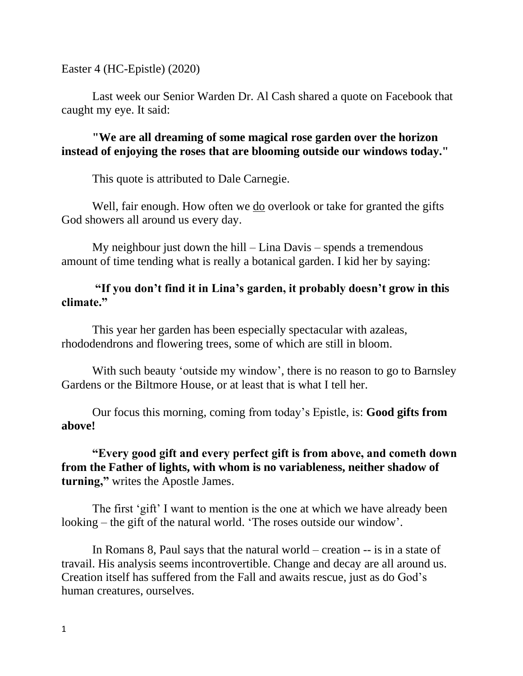Easter 4 (HC-Epistle) (2020)

Last week our Senior Warden Dr. Al Cash shared a quote on Facebook that caught my eye. It said:

**"We are all dreaming of some magical rose garden over the horizon instead of enjoying the roses that are blooming outside our windows today."** 

This quote is attributed to Dale Carnegie.

Well, fair enough. How often we do overlook or take for granted the gifts God showers all around us every day.

My neighbour just down the hill – Lina Davis – spends a tremendous amount of time tending what is really a botanical garden. I kid her by saying:

## **"If you don't find it in Lina's garden, it probably doesn't grow in this climate."**

This year her garden has been especially spectacular with azaleas, rhododendrons and flowering trees, some of which are still in bloom.

With such beauty 'outside my window', there is no reason to go to Barnsley Gardens or the Biltmore House, or at least that is what I tell her.

Our focus this morning, coming from today's Epistle, is: **Good gifts from above!**

**"Every good gift and every perfect gift is from above, and cometh down from the Father of lights, with whom is no variableness, neither shadow of turning,"** writes the Apostle James.

The first 'gift' I want to mention is the one at which we have already been looking – the gift of the natural world. 'The roses outside our window'.

In Romans 8, Paul says that the natural world – creation -- is in a state of travail. His analysis seems incontrovertible. Change and decay are all around us. Creation itself has suffered from the Fall and awaits rescue, just as do God's human creatures, ourselves.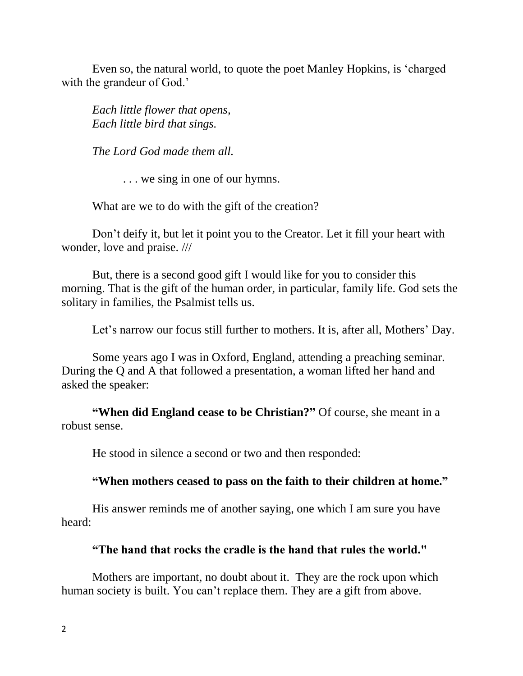Even so, the natural world, to quote the poet Manley Hopkins, is 'charged with the grandeur of God.'

*Each little flower that opens, Each little bird that sings.* 

*The Lord God made them all.*

. . . we sing in one of our hymns.

What are we to do with the gift of the creation?

Don't deify it, but let it point you to the Creator. Let it fill your heart with wonder, love and praise. ///

But, there is a second good gift I would like for you to consider this morning. That is the gift of the human order, in particular, family life. God sets the solitary in families, the Psalmist tells us.

Let's narrow our focus still further to mothers. It is, after all, Mothers' Day.

Some years ago I was in Oxford, England, attending a preaching seminar. During the Q and A that followed a presentation, a woman lifted her hand and asked the speaker:

**"When did England cease to be Christian?"** Of course, she meant in a robust sense.

He stood in silence a second or two and then responded:

## **"When mothers ceased to pass on the faith to their children at home."**

His answer reminds me of another saying, one which I am sure you have heard:

## **"The hand that rocks the cradle is the hand that rules the world."**

Mothers are important, no doubt about it. They are the rock upon which human society is built. You can't replace them. They are a gift from above.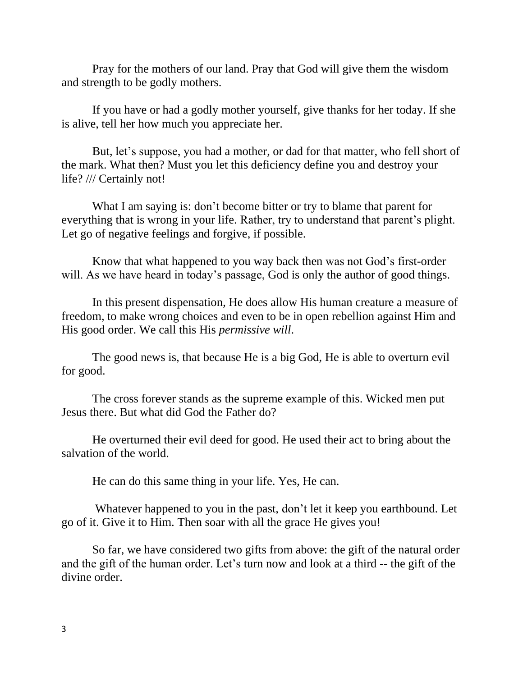Pray for the mothers of our land. Pray that God will give them the wisdom and strength to be godly mothers.

If you have or had a godly mother yourself, give thanks for her today. If she is alive, tell her how much you appreciate her.

But, let's suppose, you had a mother, or dad for that matter, who fell short of the mark. What then? Must you let this deficiency define you and destroy your life? /// Certainly not!

What I am saying is: don't become bitter or try to blame that parent for everything that is wrong in your life. Rather, try to understand that parent's plight. Let go of negative feelings and forgive, if possible.

Know that what happened to you way back then was not God's first-order will. As we have heard in today's passage, God is only the author of good things.

In this present dispensation, He does allow His human creature a measure of freedom, to make wrong choices and even to be in open rebellion against Him and His good order. We call this His *permissive will*.

The good news is, that because He is a big God, He is able to overturn evil for good.

The cross forever stands as the supreme example of this. Wicked men put Jesus there. But what did God the Father do?

He overturned their evil deed for good. He used their act to bring about the salvation of the world.

He can do this same thing in your life. Yes, He can.

Whatever happened to you in the past, don't let it keep you earthbound. Let go of it. Give it to Him. Then soar with all the grace He gives you!

So far, we have considered two gifts from above: the gift of the natural order and the gift of the human order. Let's turn now and look at a third -- the gift of the divine order.